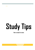# **Study Tips**

**How to study for exams**

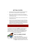# **GETTING STARTED**

- $\Rightarrow$  Decide how much time you can spend on study and homework each night. Alternate a study session with a homework session.
- $\Rightarrow$  Make a realistic timetable for the week, mark in the homework sessions and fill in the rest of the time slots with the subject that you will study each night.
- $\Rightarrow$  Allow enough time for homework, study, exercise and even a little television and social life.
- $\Rightarrow$  Divide the time for study and homework into slots of 25-30 mins, allowing a five-minute break in between. For subjects with numbers, i.e maths, physics and accountancy, time slots of 40 minutes are advisable. After three study/homework sessions a 20 mins break is advisable. This will help you to concentrate better.

Remember, the key to a successful study plan is setting targets that are possible for you to meet and sticking to your timetable.

It is important to say here that the **quantity** of time that you give to study is important, you do need a realistic yet demanding weekly timetable if you are to succeed in June. But 'putting in the time' is no guarantee of success – you must make sure that the **quality** of work is good, that your revision is *active, organised* and *SMART*, that it is

focussed on the right areas.



# **WHAT IS GOOD STUDY?**

For best results, study must be:

- **Active** always work with a pen and paper, look for key points, test yourself. Never just sit down and read for a set period. Focus on tasks, not time.
- **Organised** always ask yourself at the start of a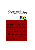study session, "What do I want to have completed in this session?" Have a plan for what you want to cover this week and this month. Make sure that you have covered the important areas in each subject.

 **Aimed at Understanding** – always look to make patterns and associations from the material you are learning so that it makes sense to you. Link new information with what you already know of a subject. Use drawings and pictures. When you understand something, it will be easier to remember.



### **S** *PECIFIC:*

*Don't have as your target, "Study geography for an hour."* **Do have as** *your target, "Revise physical geography – rivers, and sketch a model answer to the question on last year's paper."*

### **M** *EASURABLE:*

*Measure your progress towards your goal. Use a revision checklist for each subject and tick off each topic as you study/revise it. In this way, you'll be able to see your progress.*

### **A** *CTION-RELATED:*

*Break down your study goal into a set of particular tasks, e.g. background reading of research material, draw up essay plan, complete writing of essay. Base each study session on tasks, not time.*

### **R** *EALISTIC:*

*Don't set goals you will not be able to achieve. Talk to teachers and guidance counsellors about what they think would be realistic goals for you. If you set goals that are unrealistic you will quickly lose heart and lose interest.*

### **T** *IME-BASED:*

*Avoid panic before a deadline. Always time your study tasks, working back*wards from the deadline. If you have a test in three weeks' time, set blocks of *revision work for each of the three weeks.*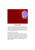# **"Eating the Elephant" - Revision Checklists**

Break up the job into smaller pieces. You'll get more done if you can do it piece by piece. Each subject that you are studying can be broken down into smaller parts, with main sections, subtopics, and other details. A very useful start is to list out all the main topics on the course then the sub-topics, and other details, and use this as a 'revision checklist' for the subject. For Leaving Cert students this has been done for you within the www.skoool.ie, website under 'Exam Centre'.



You can tick off the boxes as you cover the topics in class and as you revise them in your study sessions. This is a useful way of giving you an overview of the subject and a way of monitoring your progress in relation to the time that's left.

# **STUDY SKILLS**

Learning involves taking in information, processing it, and storing it for re-use. It is similar in many ways to the use of files and folders on your computer. But even the most powerful computer will be of no use to you if the information and material is entered in a disorganised and chaotic way. As the old programmers' motto says, "garbage in = garbage out"! Here are some skills that will help:

# **Reading better and faster**

Most students, when faced with a textbook or chapter to study, will start at the beginning, read through the book or chapter, then stop and put the book away. This is not a good way to study a textbook, it will take longer and leave you bogged down in detail, with no overall grasp of the subject matter. By taking a more *active* approach to reading, you can begin to read better and faster within a very short space of time. The **PQ2R** method has proven to be most successful in this regard. Try it and see the benefits.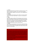### **P = Preview**

Begin your reading task with a quick skim (2-3 minutes) of the text, trying to get an overview of the chapter or text. Look for section headings, charts and diagrams, signposts or key words. Don't start highlighting text at this point.

### **Q = Question**

This is the key to active learning. Look for answers to the basic questions of Who? What? Where? Why? When? Try to pick out the main point of the text.

### **R = Read**

Now read the chapter carefully, with these questions in mind. Your mind will be actively looking for answers as you read. Work with a pen and paper, make brief notes, look for 'topic sentences' that summarise the most important point in a paragraph or section and highlight them, if necessary. Change your reading speed – move quickly over lighter, less important material and slow down when you come to a difficult section.

### **R = Review**

Always check your understanding of the material by reviewing and testing your recall before putting the text away. Look at the notes you have taken and check that they answer your questions. Write down in brief your findings from this study session.

## **CREATE THE RIGHT STUDY ENVIRONMENT**

Find a fixed place to study (a particular desk/room at home, a spot in the library etc) that becomes firmly associated in your mind with good study time. You are trying to build a habit, to make life easier for yourself by being in productive mode when you start a session. All the equipment and materials you need should be within reach, and the room well lit and ventilated, but not too comfortable!

A tidy environment will ease your mind. Avoid background 'noise' that will add to your anxiety. If listening to music helps you, make sure it is easy listening and not high intensity.

**Turn off the phone!**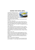# **MAKING YOUR NOTES USEFUL**

The purpose of making brief notes on a topic or section is to help with your overall understanding of material, so that you can tell the difference between what is really important information (depth) and what is merely supporting *detail*. Look at the main syllabus topics to help you decide what is important within each subject.



In addition, good summary notes help you to recall information quicker and easier.

**Sort out your filing system**

If you haven't already done so, get your subject folders and notes organised immediately. Invest in some ring-binders, dividers, plastic pockets, etc. Have a separate folder for each subject (a permanent reference point) and then keep a 'current folder' for managing notes that you are working on now.

**'Less is always more'**

When writing notes, remember they should be very brief, a summary, not just repeating what is in the textbook. Don't crowd the page. Stick to main headings and sub-headings. Use abbreviations or shorthand where appropriate. Try to reduce what you need to know on the topic down to one A4 sheet. Once you have an overview, it is easier to fill out the detail.

### **Make your notes visual**

Make your notes so that they have a memorable appearance, this will help you to recall them easily. Use drawings, diagrams, graphs, colours, and boxes ('a picture is worth a thousand words'). Arrange the material in a logical way (title, sub-point, explanation, example). Ideally, you should be able to close your eyes in an exam and visualise a particular page of notes.

**Beware of transcribing and highlighting!**

Just re-writing the text from the book into your notes does not mean you will remember it. Try to put things in your own words and come up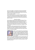with your own examples – this will make the material more meaningful. Only use the highlighter pen AFTER you have scanned and then questioned a text, so that you can identify the most important material and avoid the creation of a fluorescent textbook!

**'Save' your notes carefully**

Practice following the logic of your computer files, when storing information. Think - where does this material best fit (subject, section, topic, sub-topic, etc.)? In this way, you will make sure that it is best filed and easily found both physically (during revision) and mentally (when you need it in an exam).

### **Improving memory**

We often blame our memory for poor academic performance ("I'm no good at remembering names/dates/rules/verbs/characteristics") when really we should be looking at how we file information in our heads. There is a big difference between short term and long term memory. If you study a topic one night and can recall most of it the next morning, don't be fooled into thinking that you will be able to remember it in two months time.

If the goal is to improve your long term memory, then the key to success is based on the 'mental filing system' we use. Not overloading your limited short term memory, and filing the information into long term storage, is best done by creating patterns and not just trying to remember 'bits' of information randomly.



**'Chunking':** as the average person can only hold seven 'items' in short term memory, grouping items together into 'chunks' can help you remember more. This is generally used for remembering numbers (think of how you remember phone numbers by grouping the seven digits into 2 or 3 chunks) but can also work with other listings in various subjects.

**Repetition:** Studies indicate that 66% of material is forgotten within seven days if it is not reviewed or recited again by the student, and 88% is gone after six weeks. Don't make life harder for yourself – build in a brief daily and weekly review of material covered. It will save you having to re-learn material from scratch!